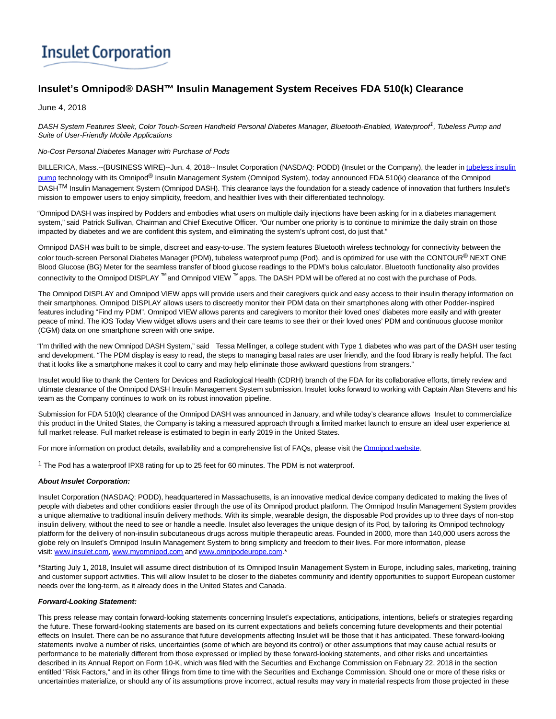# **Insulet Corporation**

## **Insulet's Omnipod® DASH™ Insulin Management System Receives FDA 510(k) Clearance**

### June 4, 2018

DASH System Features Sleek, Color Touch-Screen Handheld Personal Diabetes Manager, Bluetooth-Enabled, Waterproof<sup>1</sup>, Tubeless Pump and Suite of User-Friendly Mobile Applications

#### No-Cost Personal Diabetes Manager with Purchase of Pods

BILLERICA, Mass.--(BUSINESS WIRE)--Jun. 4, 2018-- Insulet Corporation (NASDAQ: PODD) (Insulet or the Company), the leader in [tubeless insulin](http://cts.businesswire.com/ct/CT?id=smartlink&url=http%3A%2F%2Fwww.myomnipod.com&esheet=51816007&newsitemid=20180604005355&lan=en-US&anchor=tubeless+insulin+pump&index=1&md5=7934d4fa5592871edd88f407969d4637) pump technology with its Omnipod<sup>®</sup> Insulin Management System (Omnipod System), today announced FDA 510(k) clearance of the Omnipod DASHTM Insulin Management System (Omnipod DASH). This clearance lays the foundation for a steady cadence of innovation that furthers Insulet's mission to empower users to enjoy simplicity, freedom, and healthier lives with their differentiated technology.

"Omnipod DASH was inspired by Podders and embodies what users on multiple daily injections have been asking for in a diabetes management system," said Patrick Sullivan, Chairman and Chief Executive Officer. "Our number one priority is to continue to minimize the daily strain on those impacted by diabetes and we are confident this system, and eliminating the system's upfront cost, do just that."

Omnipod DASH was built to be simple, discreet and easy-to-use. The system features Bluetooth wireless technology for connectivity between the color touch-screen Personal Diabetes Manager (PDM), tubeless waterproof pump (Pod), and is optimized for use with the CONTOUR<sup>®</sup> NEXT ONE Blood Glucose (BG) Meter for the seamless transfer of blood glucose readings to the PDM's bolus calculator. Bluetooth functionality also provides connectivity to the Omnipod DISPLAY ™ and Omnipod VIEW ™ apps. The DASH PDM will be offered at no cost with the purchase of Pods.

The Omnipod DISPLAY and Omnipod VIEW apps will provide users and their caregivers quick and easy access to their insulin therapy information on their smartphones. Omnipod DISPLAY allows users to discreetly monitor their PDM data on their smartphones along with other Podder-inspired features including "Find my PDM". Omnipod VIEW allows parents and caregivers to monitor their loved ones' diabetes more easily and with greater peace of mind. The iOS Today View widget allows users and their care teams to see their or their loved ones' PDM and continuous glucose monitor (CGM) data on one smartphone screen with one swipe.

"I'm thrilled with the new Omnipod DASH System," said Tessa Mellinger, a college student with Type 1 diabetes who was part of the DASH user testing and development. "The PDM display is easy to read, the steps to managing basal rates are user friendly, and the food library is really helpful. The fact that it looks like a smartphone makes it cool to carry and may help eliminate those awkward questions from strangers."

Insulet would like to thank the Centers for Devices and Radiological Health (CDRH) branch of the FDA for its collaborative efforts, timely review and ultimate clearance of the Omnipod DASH Insulin Management System submission. Insulet looks forward to working with Captain Alan Stevens and his team as the Company continues to work on its robust innovation pipeline.

Submission for FDA 510(k) clearance of the Omnipod DASH was announced in January, and while today's clearance allows Insulet to commercialize this product in the United States, the Company is taking a measured approach through a limited market launch to ensure an ideal user experience at full market release. Full market release is estimated to begin in early 2019 in the United States.

For more information on product details, availability and a comprehensive list of FAQs, please visit the [Omnipod website.](http://cts.businesswire.com/ct/CT?id=smartlink&url=http%3A%2F%2Fwww.myomnipod.com%2F&esheet=51816007&newsitemid=20180604005355&lan=en-US&anchor=Omnipod+website&index=2&md5=f3e5960e338ff8e29dfa7821912683e2)

<sup>1</sup> The Pod has a waterproof IPX8 rating for up to 25 feet for 60 minutes. The PDM is not waterproof.

#### **About Insulet Corporation:**

Insulet Corporation (NASDAQ: PODD), headquartered in Massachusetts, is an innovative medical device company dedicated to making the lives of people with diabetes and other conditions easier through the use of its Omnipod product platform. The Omnipod Insulin Management System provides a unique alternative to traditional insulin delivery methods. With its simple, wearable design, the disposable Pod provides up to three days of non-stop insulin delivery, without the need to see or handle a needle. Insulet also leverages the unique design of its Pod, by tailoring its Omnipod technology platform for the delivery of non-insulin subcutaneous drugs across multiple therapeutic areas. Founded in 2000, more than 140,000 users across the globe rely on Insulet's Omnipod Insulin Management System to bring simplicity and freedom to their lives. For more information, please visit: [www.insulet.com,](http://cts.businesswire.com/ct/CT?id=smartlink&url=http%3A%2F%2Fwww.insulet.com%2F&esheet=51816007&newsitemid=20180604005355&lan=en-US&anchor=www.insulet.com&index=3&md5=1bd0a9b6634d0988d57a5b12aa6e2f0d) [www.myomnipod.com a](http://cts.businesswire.com/ct/CT?id=smartlink&url=http%3A%2F%2Fwww.myomnipod.com%2F&esheet=51816007&newsitemid=20180604005355&lan=en-US&anchor=www.myomnipod.com&index=4&md5=95c87f9ccca206ea9a9c3735cc02ef7b)nd www.omnipodeurope.com.

\*Starting July 1, 2018, Insulet will assume direct distribution of its Omnipod Insulin Management System in Europe, including sales, marketing, training and customer support activities. This will allow Insulet to be closer to the diabetes community and identify opportunities to support European customer needs over the long-term, as it already does in the United States and Canada.

#### **Forward-Looking Statement:**

This press release may contain forward-looking statements concerning Insulet's expectations, anticipations, intentions, beliefs or strategies regarding the future. These forward-looking statements are based on its current expectations and beliefs concerning future developments and their potential effects on Insulet. There can be no assurance that future developments affecting Insulet will be those that it has anticipated. These forward-looking statements involve a number of risks, uncertainties (some of which are beyond its control) or other assumptions that may cause actual results or performance to be materially different from those expressed or implied by these forward-looking statements, and other risks and uncertainties described in its Annual Report on Form 10-K, which was filed with the Securities and Exchange Commission on February 22, 2018 in the section entitled "Risk Factors," and in its other filings from time to time with the Securities and Exchange Commission. Should one or more of these risks or uncertainties materialize, or should any of its assumptions prove incorrect, actual results may vary in material respects from those projected in these